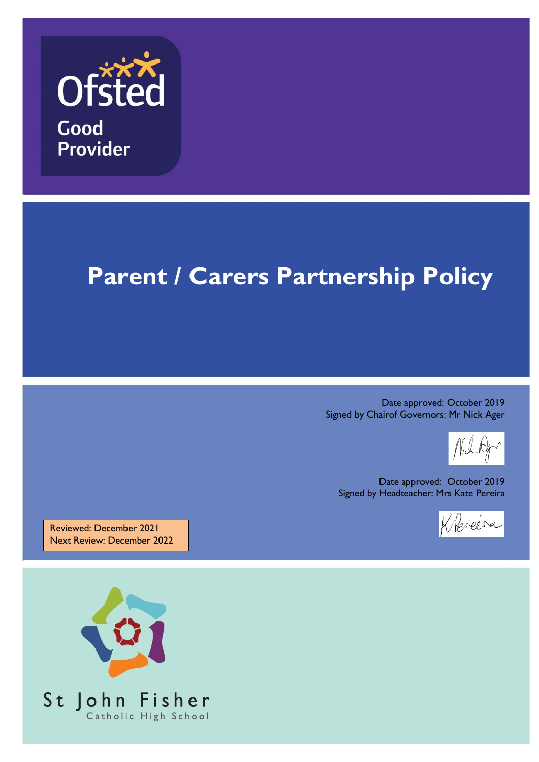

Good **Provider** 

# **Parent / Carers Partnership Policy**

Date approved: October 2019 Signed by Chairof Governors: Mr Nick Ager

Date approved: October 2019 Signed by Headteacher: Mrs Kate Pereira



Reviewed: December 2021 Next Review: December 2022

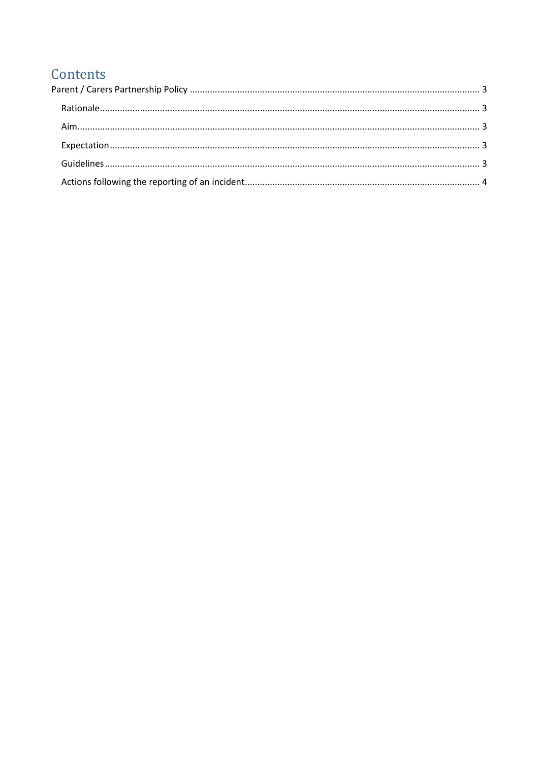## Contents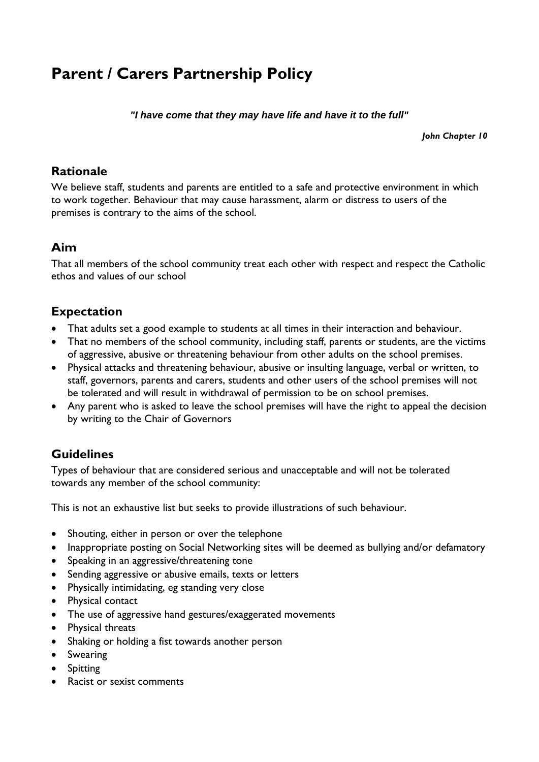# <span id="page-2-0"></span>**Parent / Carers Partnership Policy**

*"I have come that they may have life and have it to the full"*

*John Chapter 10*

#### <span id="page-2-1"></span>**Rationale**

We believe staff, students and parents are entitled to a safe and protective environment in which to work together. Behaviour that may cause harassment, alarm or distress to users of the premises is contrary to the aims of the school.

## <span id="page-2-2"></span>**Aim**

That all members of the school community treat each other with respect and respect the Catholic ethos and values of our school

## <span id="page-2-3"></span>**Expectation**

- That adults set a good example to students at all times in their interaction and behaviour.
- That no members of the school community, including staff, parents or students, are the victims of aggressive, abusive or threatening behaviour from other adults on the school premises.
- Physical attacks and threatening behaviour, abusive or insulting language, verbal or written, to staff, governors, parents and carers, students and other users of the school premises will not be tolerated and will result in withdrawal of permission to be on school premises.
- Any parent who is asked to leave the school premises will have the right to appeal the decision by writing to the Chair of Governors

## <span id="page-2-4"></span>**Guidelines**

Types of behaviour that are considered serious and unacceptable and will not be tolerated towards any member of the school community:

This is not an exhaustive list but seeks to provide illustrations of such behaviour.

- Shouting, either in person or over the telephone
- Inappropriate posting on Social Networking sites will be deemed as bullying and/or defamatory
- Speaking in an aggressive/threatening tone
- Sending aggressive or abusive emails, texts or letters
- Physically intimidating, eg standing very close
- Physical contact
- The use of aggressive hand gestures/exaggerated movements
- Physical threats
- Shaking or holding a fist towards another person
- **•** Swearing
- Spitting
- Racist or sexist comments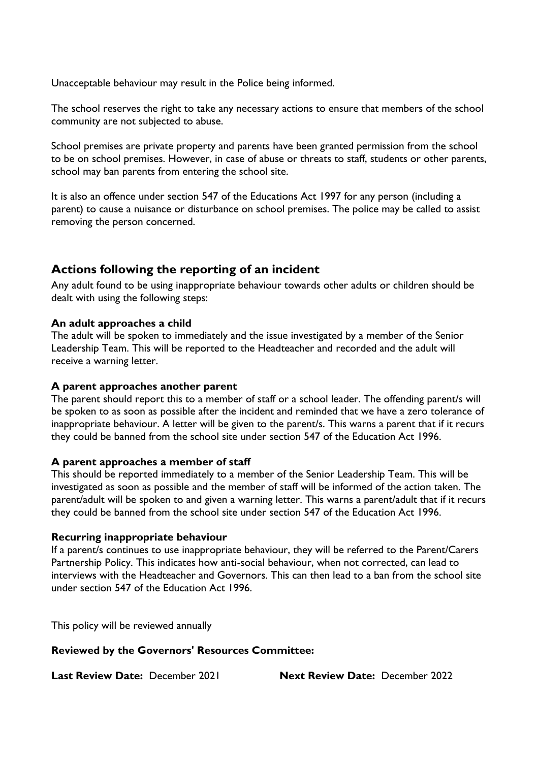Unacceptable behaviour may result in the Police being informed.

The school reserves the right to take any necessary actions to ensure that members of the school community are not subjected to abuse.

School premises are private property and parents have been granted permission from the school to be on school premises. However, in case of abuse or threats to staff, students or other parents, school may ban parents from entering the school site.

It is also an offence under section 547 of the Educations Act 1997 for any person (including a parent) to cause a nuisance or disturbance on school premises. The police may be called to assist removing the person concerned.

### <span id="page-3-0"></span>**Actions following the reporting of an incident**

Any adult found to be using inappropriate behaviour towards other adults or children should be dealt with using the following steps:

#### **An adult approaches a child**

The adult will be spoken to immediately and the issue investigated by a member of the Senior Leadership Team. This will be reported to the Headteacher and recorded and the adult will receive a warning letter.

#### **A parent approaches another parent**

The parent should report this to a member of staff or a school leader. The offending parent/s will be spoken to as soon as possible after the incident and reminded that we have a zero tolerance of inappropriate behaviour. A letter will be given to the parent/s. This warns a parent that if it recurs they could be banned from the school site under section 547 of the Education Act 1996.

#### **A parent approaches a member of staff**

This should be reported immediately to a member of the Senior Leadership Team. This will be investigated as soon as possible and the member of staff will be informed of the action taken. The parent/adult will be spoken to and given a warning letter. This warns a parent/adult that if it recurs they could be banned from the school site under section 547 of the Education Act 1996.

#### **Recurring inappropriate behaviour**

If a parent/s continues to use inappropriate behaviour, they will be referred to the Parent/Carers Partnership Policy. This indicates how anti-social behaviour, when not corrected, can lead to interviews with the Headteacher and Governors. This can then lead to a ban from the school site under section 547 of the Education Act 1996.

This policy will be reviewed annually

**Reviewed by the Governors' Resources Committee:** 

**Last Review Date:** December 2021 **Next Review Date:** December 2022